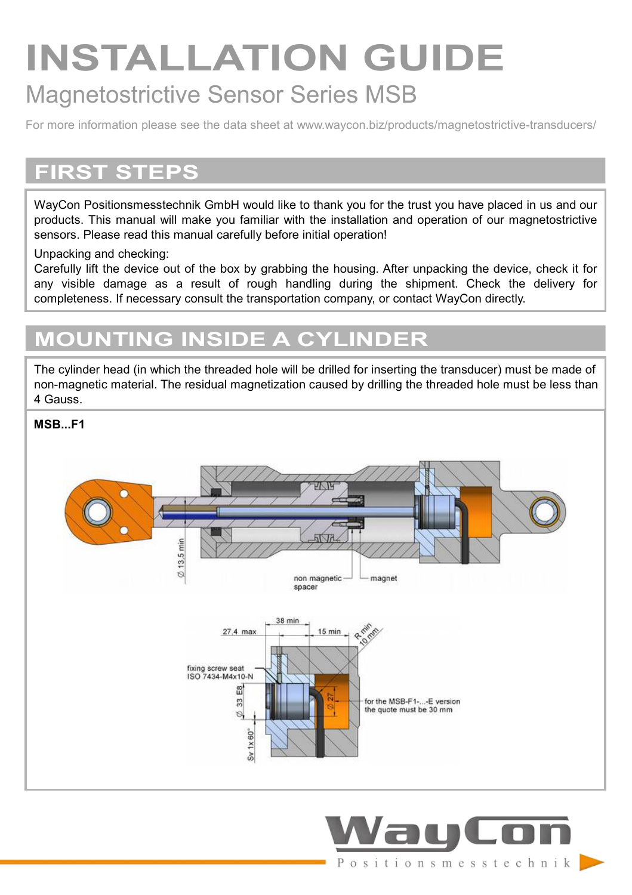# **INSTALLATION GUIDE** Magnetostrictive Sensor Series MSB

For more information please see the data sheet at www.waycon.biz/products/magnetostrictive-transducers/

### **FIRST STEPS**

WayCon Positionsmesstechnik GmbH would like to thank you for the trust you have placed in us and our products. This manual will make you familiar with the installation and operation of our magnetostrictive sensors. Please read this manual carefully before initial operation!

#### Unpacking and checking:

Carefully lift the device out of the box by grabbing the housing. After unpacking the device, check it for any visible damage as a result of rough handling during the shipment. Check the delivery for completeness. If necessary consult the transportation company, or contact WayCon directly.

### **MOUNTING INSIDE A CYLINDER**

The cylinder head (in which the threaded hole will be drilled for inserting the transducer) must be made of non-magnetic material. The residual magnetization caused by drilling the threaded hole must be less than 4 Gauss.

**MSB...E1** 



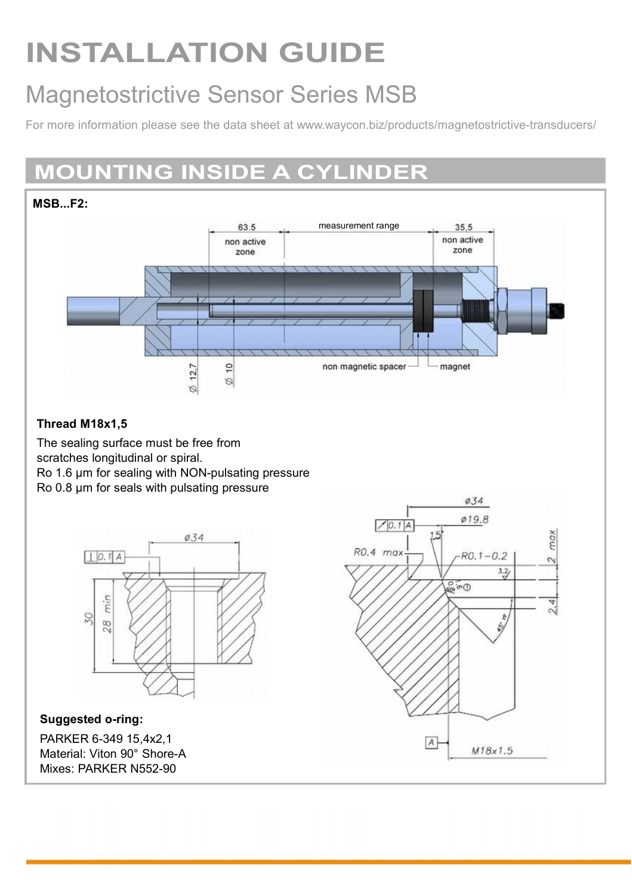# **INSTALLATION GUIDE**

# Magnetostrictive Sensor Series MSB

For more information please see the data sheet at www.waycon.biz/products/magnetostrictive-transducers/

## **MOUNTING INSIDE A CYLINDER**



#### **Thread M18x1,5**

The sealing surface must be free from scratches longitudinal or spiral. Ro 1.6 μm for sealing with NON-pulsating pressure Ro 0.8 μm for seals with pulsating pressure



**Suggested o-ring:** PARKER 6-349 15,4x2,1 Material: Viton 90° Shore-A Mixes: PARKER N552-90

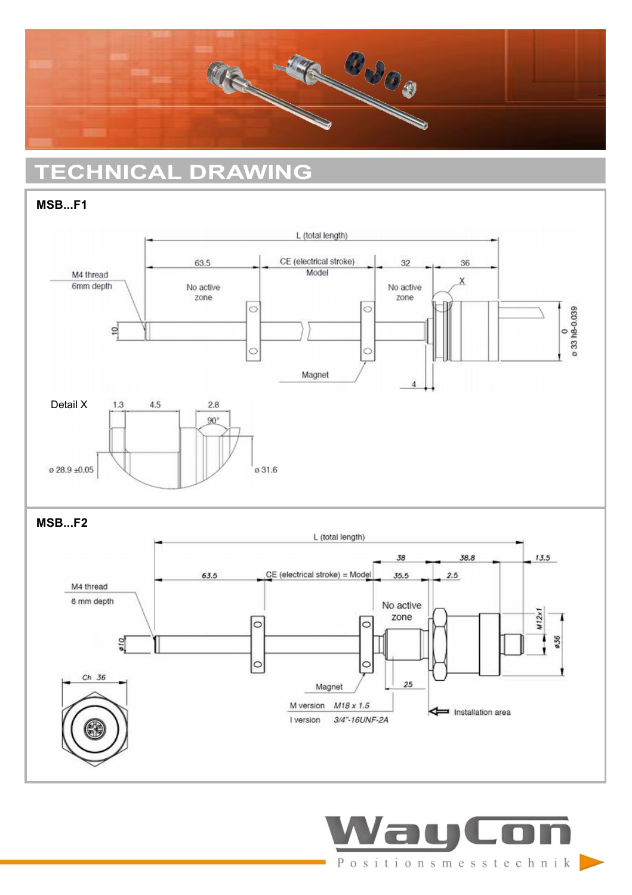

# **TECHNICAL DRAWING**

#### **MSB...F1**



**MSB...F2**



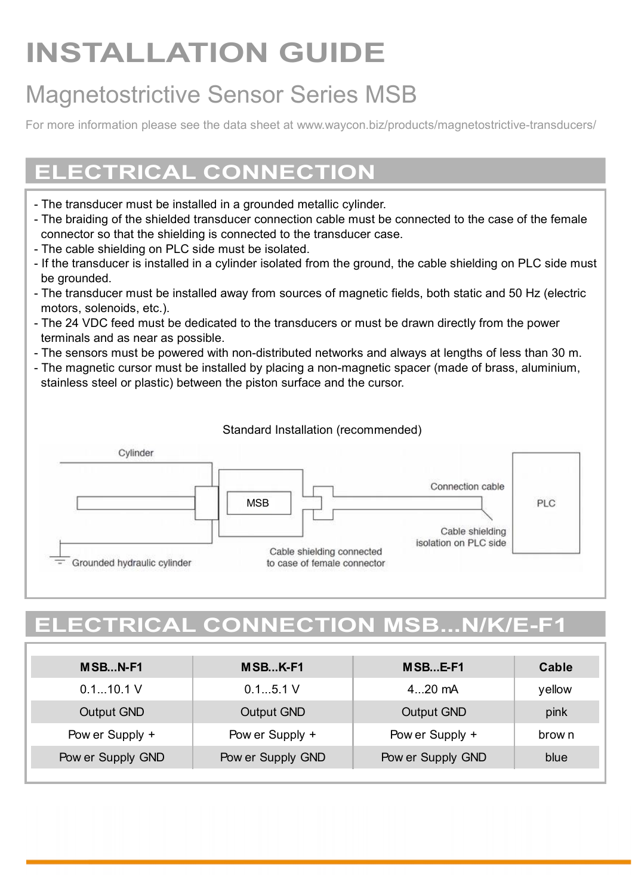# **INSTALLATION GUIDE**

# Magnetostrictive Sensor Series MSB

For more information please see the data sheet at www.waycon.biz/products/magnetostrictive-transducers/

### **ELECTRICAL CONNECTION**

- The transducer must be installed in a grounded metallic cylinder.
- The braiding of the shielded transducer connection cable must be connected to the case of the female connector so that the shielding is connected to the transducer case.
- The cable shielding on PLC side must be isolated.
- If the transducer is installed in a cylinder isolated from the ground, the cable shielding on PLC side must be grounded.
- The transducer must be installed away from sources of magnetic fields, both static and 50 Hz (electric motors, solenoids, etc.).
- The 24 VDC feed must be dedicated to the transducers or must be drawn directly from the power terminals and as near as possible.
- The sensors must be powered with non-distributed networks and always at lengths of less than 30 m.
- The magnetic cursor must be installed by placing a non-magnetic spacer (made of brass, aluminium, stainless steel or plastic) between the piston surface and the cursor.

#### Standard Installation (recommended)



## **ELECTRICAL CONNECTION MSB...N/K/E-F1**

| MSB.N-F1          | MSBK-F1           | MSB E-F1          | Cable  |
|-------------------|-------------------|-------------------|--------|
| 0.110.1V          | 0.15.1V           | 4 20 mA           | yellow |
| Output GND        | Output GND        | Output GND        | pink   |
| Pow er Supply +   | Pow er Supply +   | Pow er Supply +   | brow n |
| Pow er Supply GND | Pow er Supply GND | Pow er Supply GND | blue   |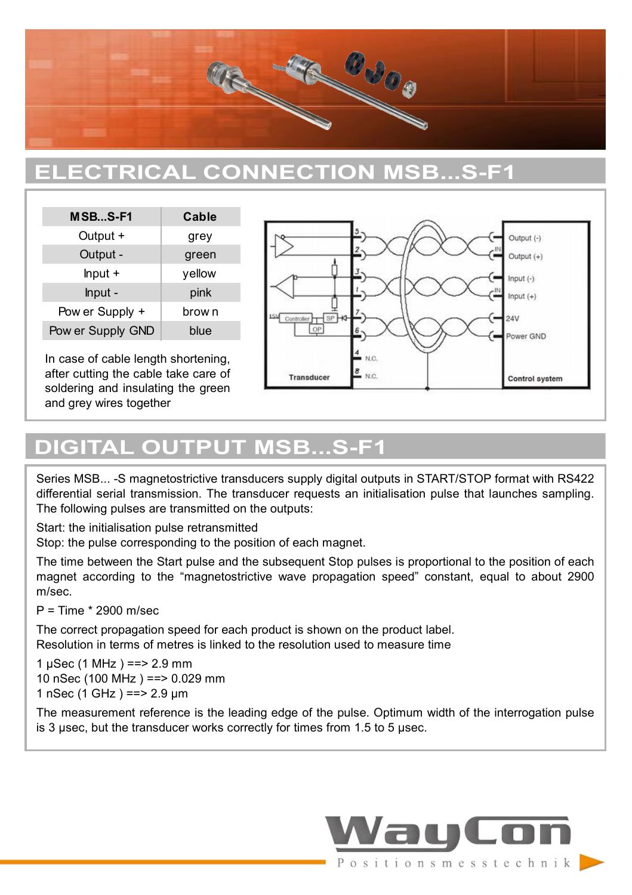

### **ELECTRICAL CONNECTION MSB...S-F1**

| MSBS-F1           | Cable  |
|-------------------|--------|
| Output +          | grey   |
| Output -          | green  |
| $lnput +$         | yellow |
| Input -           | pink   |
| Pow er Supply +   | brow n |
| Pow er Supply GND | blue   |

In case of cable length shortening, after cutting the cable take care of soldering and insulating the green and grey wires together



### **DIGITAL OUTPUT MSB...S-F1**

Series MSB... -S magnetostrictive transducers supply digital outputs in START/STOP format with RS422 differential serial transmission. The transducer requests an initialisation pulse that launches sampling. The following pulses are transmitted on the outputs:

Start: the initialisation pulse retransmitted

Stop: the pulse corresponding to the position of each magnet.

The time between the Start pulse and the subsequent Stop pulses is proportional to the position of each magnet according to the "magnetostrictive wave propagation speed" constant, equal to about 2900 m/sec.

P = Time \* 2900 m/sec

The correct propagation speed for each product is shown on the product label. Resolution in terms of metres is linked to the resolution used to measure time

1 μSec (1 MHz ) ==> 2.9 mm 10 nSec (100 MHz ) ==> 0.029 mm 1 nSec (1 GHz ) ==> 2.9 μm

The measurement reference is the leading edge of the pulse. Optimum width of the interrogation pulse is 3 μsec, but the transducer works correctly for times from 1.5 to 5 μsec.

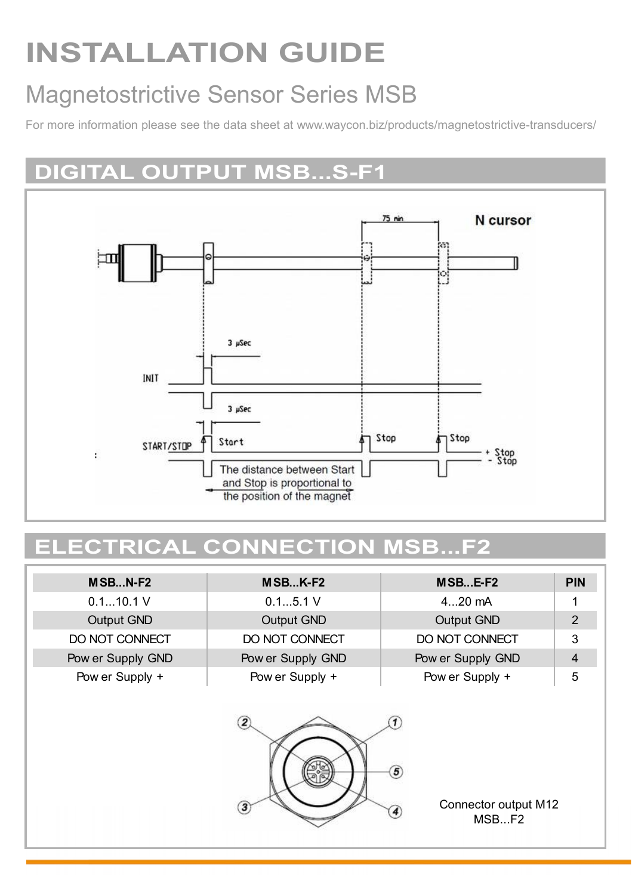# **INSTALLATION GUIDE**

# Magnetostrictive Sensor Series MSB

For more information please see the data sheet at www.waycon.biz/products/magnetostrictive-transducers/

### **DIGITAL OUTPUT MSB...S-F1**



### **ELECTRICAL CONNECTION MSB...F2**

| $MSBN-F2$         | $MSBK-F2$                        | MSBE-F2                                                           | <b>PIN</b>     |
|-------------------|----------------------------------|-------------------------------------------------------------------|----------------|
| 0.110.1V          | 0.15.1V<br>$420$ mA              |                                                                   |                |
| Output GND        | Output GND<br>Output GND         |                                                                   | $\overline{2}$ |
| DO NOT CONNECT    | DO NOT CONNECT<br>DO NOT CONNECT |                                                                   | 3              |
| Pow er Supply GND | Pow er Supply GND                | Pow er Supply GND                                                 | $\overline{4}$ |
| Pow er Supply +   | Pow er Supply +                  | Pow er Supply +                                                   | 5              |
|                   | $\mathbf{Z}$<br>3                | $\circledS$<br>Connector output M12<br>$\left( 4\right)$<br>MSBF2 |                |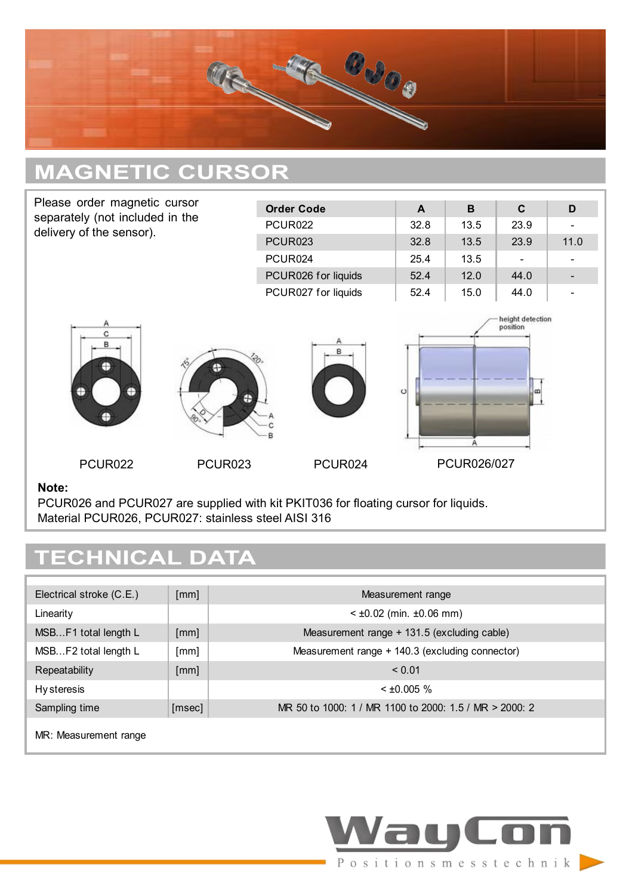

# **MAGNETIC CURSOR**

| Please order magnetic cursor                                                                                                                       |                     | <b>Order Code</b>   | $\mathsf{A}$ | B           | C                                  | D    |
|----------------------------------------------------------------------------------------------------------------------------------------------------|---------------------|---------------------|--------------|-------------|------------------------------------|------|
| separately (not included in the<br>delivery of the sensor).                                                                                        |                     | <b>PCUR022</b>      | 32.8         | 13.5        | 23.9                               |      |
|                                                                                                                                                    |                     | <b>PCUR023</b>      | 32.8         | 13.5        | 23.9                               | 11.0 |
|                                                                                                                                                    |                     | PCUR024             | 25.4         | 13.5        |                                    |      |
|                                                                                                                                                    |                     | PCUR026 for liquids | 52.4         | 12.0        | 44.0                               |      |
|                                                                                                                                                    |                     | PCUR027 for liquids | 52.4         | 15.0        | 44.0                               |      |
| Α<br>c<br>B<br>Ð<br>Ð<br>⊕                                                                                                                         | Ð<br>æ              | в                   | $\circ$      |             | height detection<br>position<br>മി |      |
| PCUR <sub>022</sub>                                                                                                                                | PCUR <sub>023</sub> | PCUR024             |              | PCUR026/027 |                                    |      |
| Note:<br>PCUR026 and PCUR027 are supplied with kit PKIT036 for floating cursor for liquids.<br>Material PCUR026, PCUR027: stainless steel AISI 316 |                     |                     |              |             |                                    |      |

# **TECHNICAL DATA**

| Electrical stroke (C.E.) | [mm]   | Measurement range                                      |
|--------------------------|--------|--------------------------------------------------------|
| Linearity                |        | $<$ ±0.02 (min. ±0.06 mm)                              |
| MSBF1 total length L     | [mm]   | Measurement range + 131.5 (excluding cable)            |
| MSBF2 total length L     | [mm]   | Measurement range + 140.3 (excluding connector)        |
| Repeatability            | [mm]   | ${}_{0.01}$                                            |
| <b>Hy steresis</b>       |        | $<$ ±0.005 %                                           |
| Sampling time            | [msec] | MR 50 to 1000: 1 / MR 1100 to 2000: 1.5 / MR > 2000: 2 |
| .                        |        |                                                        |

MR: Measurement range